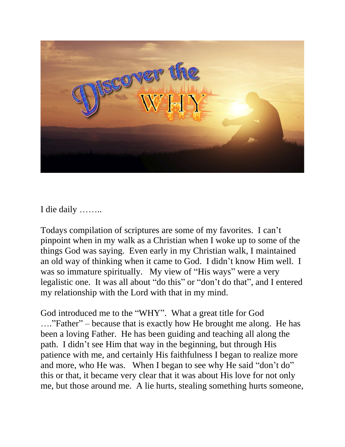

I die daily ……..

Todays compilation of scriptures are some of my favorites. I can't pinpoint when in my walk as a Christian when I woke up to some of the things God was saying. Even early in my Christian walk, I maintained an old way of thinking when it came to God. I didn't know Him well. I was so immature spiritually. My view of "His ways" were a very legalistic one. It was all about "do this" or "don't do that", and I entered my relationship with the Lord with that in my mind.

God introduced me to the "WHY". What a great title for God …."Father" – because that is exactly how He brought me along. He has been a loving Father. He has been guiding and teaching all along the path. I didn't see Him that way in the beginning, but through His patience with me, and certainly His faithfulness I began to realize more and more, who He was. When I began to see why He said "don't do" this or that, it became very clear that it was about His love for not only me, but those around me. A lie hurts, stealing something hurts someone,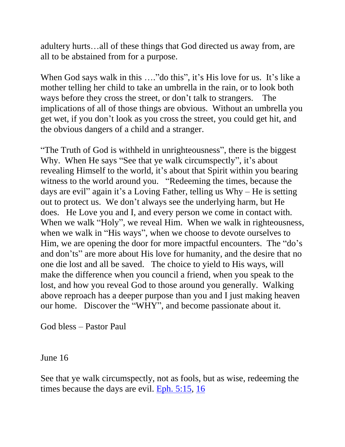adultery hurts…all of these things that God directed us away from, are all to be abstained from for a purpose.

When God says walk in this ...."do this", it's His love for us. It's like a mother telling her child to take an umbrella in the rain, or to look both ways before they cross the street, or don't talk to strangers. The implications of all of those things are obvious. Without an umbrella you get wet, if you don't look as you cross the street, you could get hit, and the obvious dangers of a child and a stranger.

"The Truth of God is withheld in unrighteousness", there is the biggest Why. When He says "See that ye walk circumspectly", it's about revealing Himself to the world, it's about that Spirit within you bearing witness to the world around you. "Redeeming the times, because the days are evil" again it's a Loving Father, telling us Why – He is setting out to protect us. We don't always see the underlying harm, but He does. He Love you and I, and every person we come in contact with. When we walk "Holy", we reveal Him. When we walk in righteousness, when we walk in "His ways", when we choose to devote ourselves to Him, we are opening the door for more impactful encounters. The "do's" and don'ts" are more about His love for humanity, and the desire that no one die lost and all be saved. The choice to yield to His ways, will make the difference when you council a friend, when you speak to the lost, and how you reveal God to those around you generally. Walking above reproach has a deeper purpose than you and I just making heaven our home. Discover the "WHY", and become passionate about it.

God bless – Pastor Paul

June 16

See that ye walk circumspectly, not as fools, but as wise, redeeming the times because the days are evil. [Eph. 5:15,](https://biblia.com/bible/nkjv/Eph.%205.15) [16](https://biblia.com/bible/nkjv/Eph%205.16)